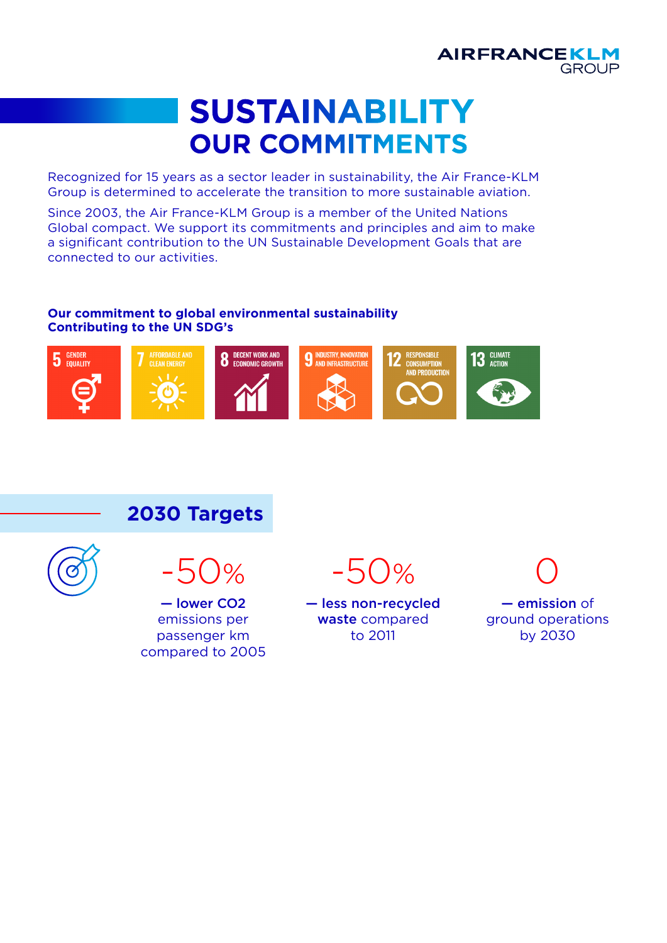

## **SUSTAINABILITY OUR COMMITMENTS**

Recognized for 15 years as a sector leader in sustainability, the Air France-KLM Group is determined to accelerate the transition to more sustainable aviation.

Since 2003, the Air France-KLM Group is a member of the United Nations Global compact. We support its commitments and principles and aim to make a significant contribution to the UN Sustainable Development Goals that are connected to our activities.

#### **Our commitment to global environmental sustainability Contributing to the UN SDG's**



**2030 Targets**



— lower CO2 emissions per passenger km

compared to 2005

 $-50%$ 

— less non-recycled waste compared to 2011

— emission of ground operations by 2030